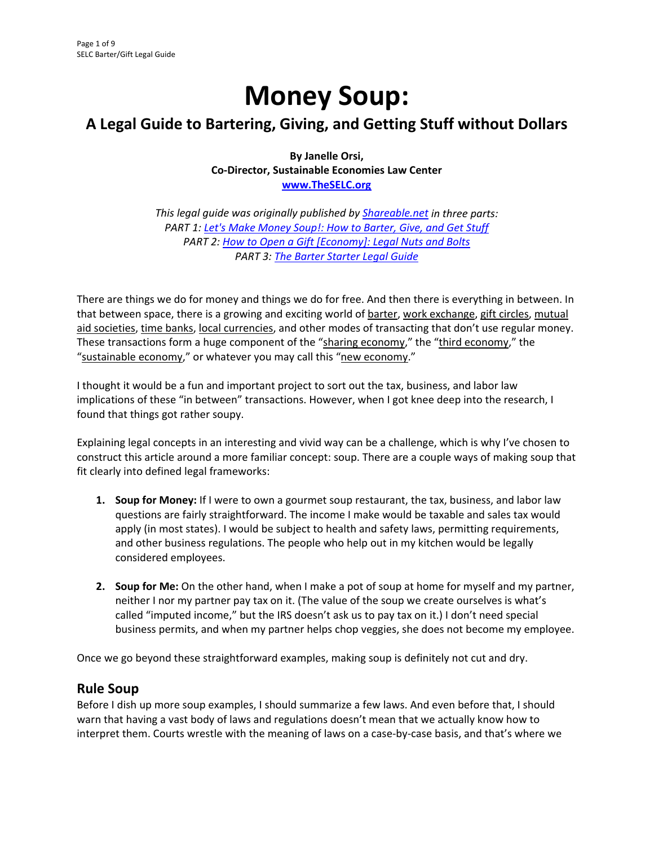# **Money Soup:**

# **A Legal Guide to Bartering, Giving, and Getting Stuff without Dollars**

**By Janelle Orsi, Co‐Director, Sustainable Economies Law Center www.TheSELC.org**

*This legal guide was originally published by Shareable.net in three parts: PART 1: Let's Make Money Soup!: How to Barter, Give, and Get Stuff PART 2: How to Open a Gift [Economy]: Legal Nuts and Bolts PART 3: The Barter Starter Legal Guide* 

There are things we do for money and things we do for free. And then there is everything in between. In that between space, there is a growing and exciting world of barter, work exchange, gift circles, mutual aid societies, time banks, local currencies, and other modes of transacting that don't use regular money. These transactions form a huge component of the "sharing economy," the "third economy," the "sustainable economy," or whatever you may call this "new economy."

I thought it would be a fun and important project to sort out the tax, business, and labor law implications of these "in between" transactions. However, when I got knee deep into the research, I found that things got rather soupy.

Explaining legal concepts in an interesting and vivid way can be a challenge, which is why I've chosen to construct this article around a more familiar concept: soup. There are a couple ways of making soup that fit clearly into defined legal frameworks:

- **1. Soup for Money:** If I were to own a gourmet soup restaurant, the tax, business, and labor law questions are fairly straightforward. The income I make would be taxable and sales tax would apply (in most states). I would be subject to health and safety laws, permitting requirements, and other business regulations. The people who help out in my kitchen would be legally considered employees.
- **2. Soup for Me:** On the other hand, when I make a pot of soup at home for myself and my partner, neither I nor my partner pay tax on it. (The value of the soup we create ourselves is what's called "imputed income," but the IRS doesn't ask us to pay tax on it.) I don't need special business permits, and when my partner helps chop veggies, she does not become my employee.

Once we go beyond these straightforward examples, making soup is definitely not cut and dry.

## **Rule Soup**

Before I dish up more soup examples, I should summarize a few laws. And even before that, I should warn that having a vast body of laws and regulations doesn't mean that we actually know how to interpret them. Courts wrestle with the meaning of laws on a case-by-case basis, and that's where we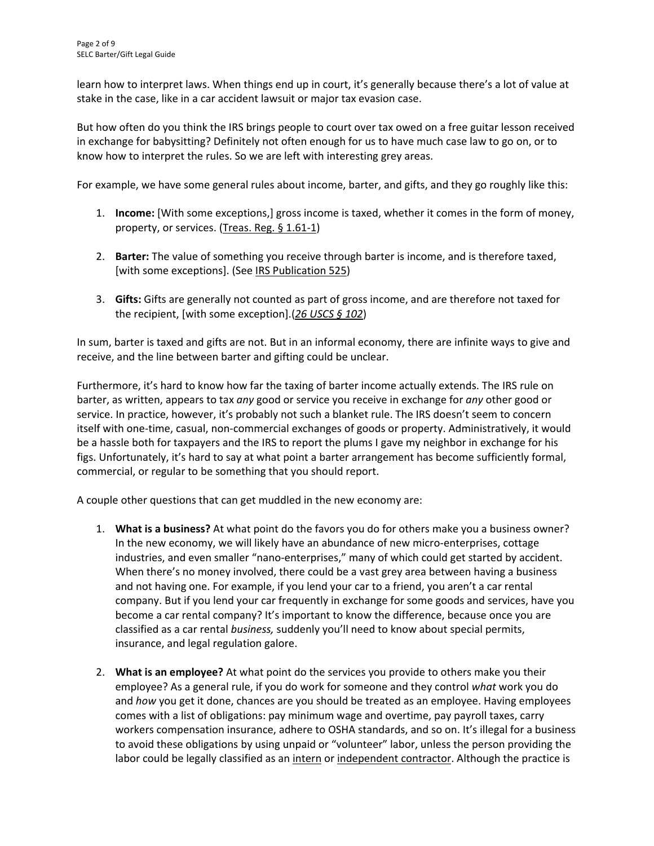learn how to interpret laws. When things end up in court, it's generally because there's a lot of value at stake in the case, like in a car accident lawsuit or major tax evasion case.

But how often do you think the IRS brings people to court over tax owed on a free guitar lesson received in exchange for babysitting? Definitely not often enough for us to have much case law to go on, or to know how to interpret the rules. So we are left with interesting grey areas.

For example, we have some general rules about income, barter, and gifts, and they go roughly like this:

- 1. **Income:** [With some exceptions,] gross income is taxed, whether it comes in the form of money, property, or services. (Treas. Reg. § 1.61‐1)
- 2. **Barter:** The value of something you receive through barter is income, and is therefore taxed, [with some exceptions]. (See IRS Publication 525)
- 3. **Gifts:** Gifts are generally not counted as part of gross income, and are therefore not taxed for the recipient, [with some exception].(*26 USCS § 102*)

In sum, barter is taxed and gifts are not. But in an informal economy, there are infinite ways to give and receive, and the line between barter and gifting could be unclear.

Furthermore, it's hard to know how far the taxing of barter income actually extends. The IRS rule on barter, as written, appears to tax *any* good or service you receive in exchange for *any* other good or service. In practice, however, it's probably not such a blanket rule. The IRS doesn't seem to concern itself with one-time, casual, non-commercial exchanges of goods or property. Administratively, it would be a hassle both for taxpayers and the IRS to report the plums I gave my neighbor in exchange for his figs. Unfortunately, it's hard to say at what point a barter arrangement has become sufficiently formal, commercial, or regular to be something that you should report.

A couple other questions that can get muddled in the new economy are:

- 1. **What is a business?** At what point do the favors you do for others make you a business owner? In the new economy, we will likely have an abundance of new micro‐enterprises, cottage industries, and even smaller "nano‐enterprises," many of which could get started by accident. When there's no money involved, there could be a vast grey area between having a business and not having one. For example, if you lend your car to a friend, you aren't a car rental company. But if you lend your car frequently in exchange for some goods and services, have you become a car rental company? It's important to know the difference, because once you are classified as a car rental *business,* suddenly you'll need to know about special permits, insurance, and legal regulation galore.
- 2. **What is an employee?** At what point do the services you provide to others make you their employee? As a general rule, if you do work for someone and they control *what* work you do and *how* you get it done, chances are you should be treated as an employee. Having employees comes with a list of obligations: pay minimum wage and overtime, pay payroll taxes, carry workers compensation insurance, adhere to OSHA standards, and so on. It's illegal for a business to avoid these obligations by using unpaid or "volunteer" labor, unless the person providing the labor could be legally classified as an intern or independent contractor. Although the practice is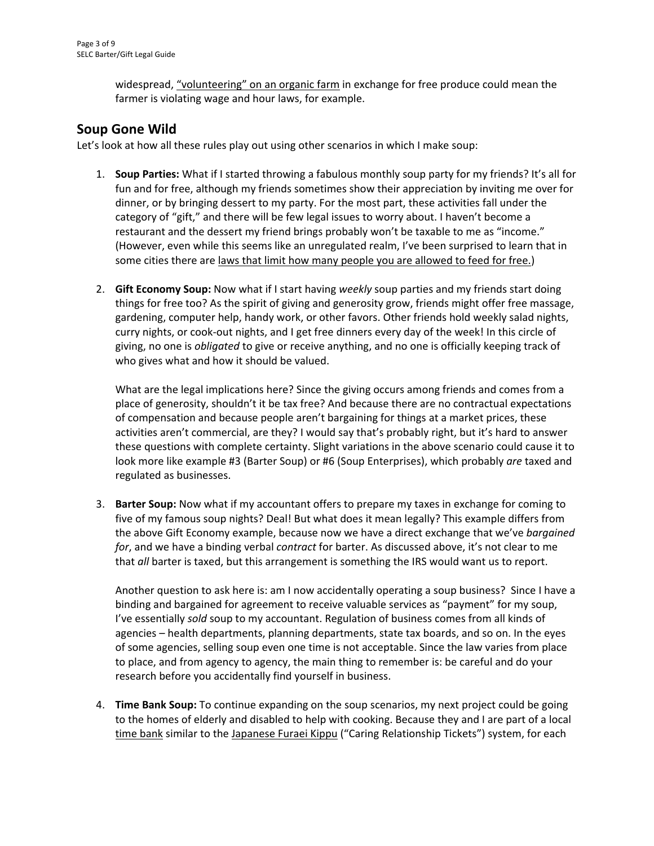widespread, "volunteering" on an organic farm in exchange for free produce could mean the farmer is violating wage and hour laws, for example.

## **Soup Gone Wild**

Let's look at how all these rules play out using other scenarios in which I make soup:

- 1. **Soup Parties:** What if I started throwing a fabulous monthly soup party for my friends? It's all for fun and for free, although my friends sometimes show their appreciation by inviting me over for dinner, or by bringing dessert to my party. For the most part, these activities fall under the category of "gift," and there will be few legal issues to worry about. I haven't become a restaurant and the dessert my friend brings probably won't be taxable to me as "income." (However, even while this seems like an unregulated realm, I've been surprised to learn that in some cities there are laws that limit how many people you are allowed to feed for free.)
- 2. **Gift Economy Soup:** Now what if I start having *weekly* soup parties and my friends start doing things for free too? As the spirit of giving and generosity grow, friends might offer free massage, gardening, computer help, handy work, or other favors. Other friends hold weekly salad nights, curry nights, or cook‐out nights, and I get free dinners every day of the week! In this circle of giving, no one is *obligated* to give or receive anything, and no one is officially keeping track of who gives what and how it should be valued.

What are the legal implications here? Since the giving occurs among friends and comes from a place of generosity, shouldn't it be tax free? And because there are no contractual expectations of compensation and because people aren't bargaining for things at a market prices, these activities aren't commercial, are they? I would say that's probably right, but it's hard to answer these questions with complete certainty. Slight variations in the above scenario could cause it to look more like example #3 (Barter Soup) or #6 (Soup Enterprises), which probably *are* taxed and regulated as businesses.

3. **Barter Soup:** Now what if my accountant offers to prepare my taxes in exchange for coming to five of my famous soup nights? Deal! But what does it mean legally? This example differs from the above Gift Economy example, because now we have a direct exchange that we've *bargained for*, and we have a binding verbal *contract* for barter. As discussed above, it's not clear to me that *all* barter is taxed, but this arrangement is something the IRS would want us to report.

Another question to ask here is: am I now accidentally operating a soup business? Since I have a binding and bargained for agreement to receive valuable services as "payment" for my soup, I've essentially *sold* soup to my accountant. Regulation of business comes from all kinds of agencies – health departments, planning departments, state tax boards, and so on. In the eyes of some agencies, selling soup even one time is not acceptable. Since the law varies from place to place, and from agency to agency, the main thing to remember is: be careful and do your research before you accidentally find yourself in business.

4. **Time Bank Soup:** To continue expanding on the soup scenarios, my next project could be going to the homes of elderly and disabled to help with cooking. Because they and I are part of a local time bank similar to the Japanese Furaei Kippu ("Caring Relationship Tickets") system, for each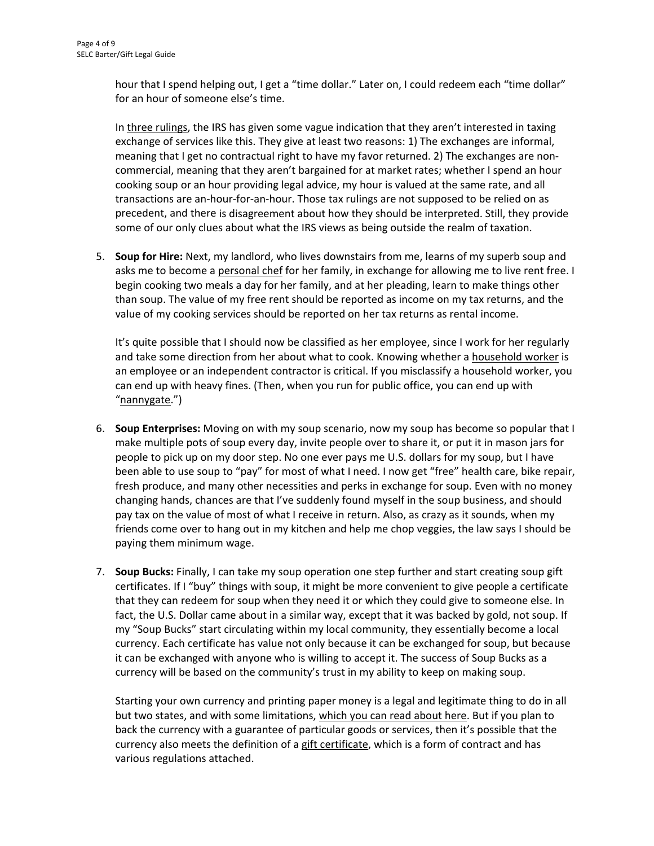hour that I spend helping out, I get a "time dollar." Later on, I could redeem each "time dollar" for an hour of someone else's time.

In three rulings, the IRS has given some vague indication that they aren't interested in taxing exchange of services like this. They give at least two reasons: 1) The exchanges are informal, meaning that I get no contractual right to have my favor returned. 2) The exchanges are noncommercial, meaning that they aren't bargained for at market rates; whether I spend an hour cooking soup or an hour providing legal advice, my hour is valued at the same rate, and all transactions are an‐hour‐for‐an‐hour. Those tax rulings are not supposed to be relied on as precedent, and there is disagreement about how they should be interpreted. Still, they provide some of our only clues about what the IRS views as being outside the realm of taxation.

5. **Soup for Hire:** Next, my landlord, who lives downstairs from me, learns of my superb soup and asks me to become a personal chef for her family, in exchange for allowing me to live rent free. I begin cooking two meals a day for her family, and at her pleading, learn to make things other than soup. The value of my free rent should be reported as income on my tax returns, and the value of my cooking services should be reported on her tax returns as rental income.

It's quite possible that I should now be classified as her employee, since I work for her regularly and take some direction from her about what to cook. Knowing whether a household worker is an employee or an independent contractor is critical. If you misclassify a household worker, you can end up with heavy fines. (Then, when you run for public office, you can end up with "nannygate.")

- 6. **Soup Enterprises:** Moving on with my soup scenario, now my soup has become so popular that I make multiple pots of soup every day, invite people over to share it, or put it in mason jars for people to pick up on my door step. No one ever pays me U.S. dollars for my soup, but I have been able to use soup to "pay" for most of what I need. I now get "free" health care, bike repair, fresh produce, and many other necessities and perks in exchange for soup. Even with no money changing hands, chances are that I've suddenly found myself in the soup business, and should pay tax on the value of most of what I receive in return. Also, as crazy as it sounds, when my friends come over to hang out in my kitchen and help me chop veggies, the law says I should be paying them minimum wage.
- 7. **Soup Bucks:** Finally, I can take my soup operation one step further and start creating soup gift certificates. If I "buy" things with soup, it might be more convenient to give people a certificate that they can redeem for soup when they need it or which they could give to someone else. In fact, the U.S. Dollar came about in a similar way, except that it was backed by gold, not soup. If my "Soup Bucks" start circulating within my local community, they essentially become a local currency. Each certificate has value not only because it can be exchanged for soup, but because it can be exchanged with anyone who is willing to accept it. The success of Soup Bucks as a currency will be based on the community's trust in my ability to keep on making soup.

Starting your own currency and printing paper money is a legal and legitimate thing to do in all but two states, and with some limitations, which you can read about here. But if you plan to back the currency with a guarantee of particular goods or services, then it's possible that the currency also meets the definition of a gift certificate, which is a form of contract and has various regulations attached.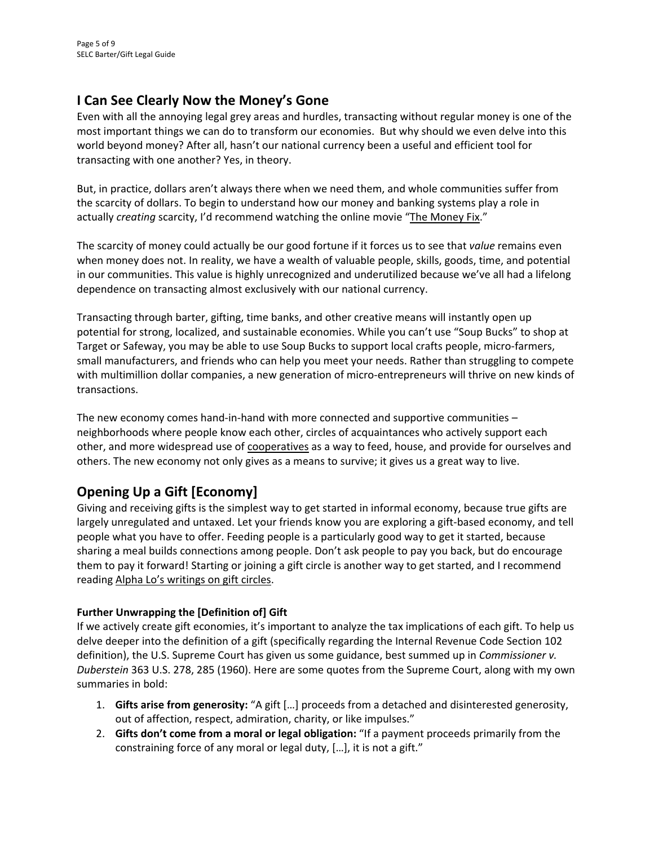# **I Can See Clearly Now the Money's Gone**

Even with all the annoying legal grey areas and hurdles, transacting without regular money is one of the most important things we can do to transform our economies. But why should we even delve into this world beyond money? After all, hasn't our national currency been a useful and efficient tool for transacting with one another? Yes, in theory.

But, in practice, dollars aren't always there when we need them, and whole communities suffer from the scarcity of dollars. To begin to understand how our money and banking systems play a role in actually *creating* scarcity, I'd recommend watching the online movie "The Money Fix."

The scarcity of money could actually be our good fortune if it forces us to see that *value* remains even when money does not. In reality, we have a wealth of valuable people, skills, goods, time, and potential in our communities. This value is highly unrecognized and underutilized because we've all had a lifelong dependence on transacting almost exclusively with our national currency.

Transacting through barter, gifting, time banks, and other creative means will instantly open up potential for strong, localized, and sustainable economies. While you can't use "Soup Bucks" to shop at Target or Safeway, you may be able to use Soup Bucks to support local crafts people, micro‐farmers, small manufacturers, and friends who can help you meet your needs. Rather than struggling to compete with multimillion dollar companies, a new generation of micro-entrepreneurs will thrive on new kinds of transactions.

The new economy comes hand-in-hand with more connected and supportive communities – neighborhoods where people know each other, circles of acquaintances who actively support each other, and more widespread use of cooperatives as a way to feed, house, and provide for ourselves and others. The new economy not only gives as a means to survive; it gives us a great way to live.

# **Opening Up a Gift [Economy]**

Giving and receiving gifts is the simplest way to get started in informal economy, because true gifts are largely unregulated and untaxed. Let your friends know you are exploring a gift-based economy, and tell people what you have to offer. Feeding people is a particularly good way to get it started, because sharing a meal builds connections among people. Don't ask people to pay you back, but do encourage them to pay it forward! Starting or joining a gift circle is another way to get started, and I recommend reading Alpha Lo's writings on gift circles.

## **Further Unwrapping the [Definition of] Gift**

If we actively create gift economies, it's important to analyze the tax implications of each gift. To help us delve deeper into the definition of a gift (specifically regarding the Internal Revenue Code Section 102 definition), the U.S. Supreme Court has given us some guidance, best summed up in *Commissioner v. Duberstein* 363 U.S. 278, 285 (1960). Here are some quotes from the Supreme Court, along with my own summaries in bold:

- 1. **Gifts arise from generosity:** "A gift […] proceeds from a detached and disinterested generosity, out of affection, respect, admiration, charity, or like impulses."
- 2. **Gifts don't come from a moral or legal obligation:** "If a payment proceeds primarily from the constraining force of any moral or legal duty, […], it is not a gift."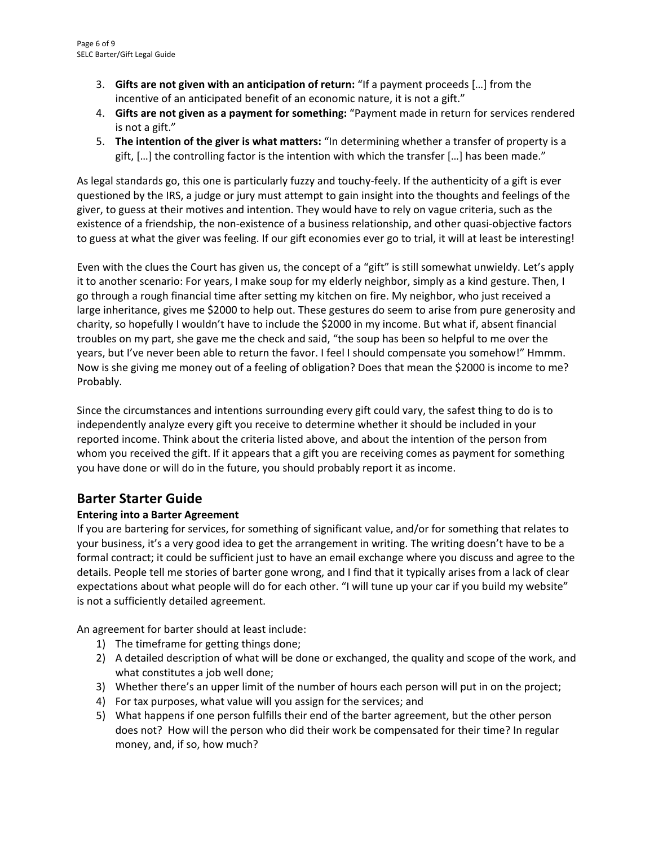- 3. **Gifts are not given with an anticipation of return:** "If a payment proceeds […] from the incentive of an anticipated benefit of an economic nature, it is not a gift."
- 4. **Gifts are not given as a payment for something:** "Payment made in return for services rendered is not a gift."
- 5. **The intention of the giver is what matters:** "In determining whether a transfer of property is a gift, […] the controlling factor is the intention with which the transfer […] has been made."

As legal standards go, this one is particularly fuzzy and touchy‐feely. If the authenticity of a gift is ever questioned by the IRS, a judge or jury must attempt to gain insight into the thoughts and feelings of the giver, to guess at their motives and intention. They would have to rely on vague criteria, such as the existence of a friendship, the non‐existence of a business relationship, and other quasi‐objective factors to guess at what the giver was feeling. If our gift economies ever go to trial, it will at least be interesting!

Even with the clues the Court has given us, the concept of a "gift" is still somewhat unwieldy. Let's apply it to another scenario: For years, I make soup for my elderly neighbor, simply as a kind gesture. Then, I go through a rough financial time after setting my kitchen on fire. My neighbor, who just received a large inheritance, gives me \$2000 to help out. These gestures do seem to arise from pure generosity and charity, so hopefully I wouldn't have to include the \$2000 in my income. But what if, absent financial troubles on my part, she gave me the check and said, "the soup has been so helpful to me over the years, but I've never been able to return the favor. I feel I should compensate you somehow!" Hmmm. Now is she giving me money out of a feeling of obligation? Does that mean the \$2000 is income to me? Probably.

Since the circumstances and intentions surrounding every gift could vary, the safest thing to do is to independently analyze every gift you receive to determine whether it should be included in your reported income. Think about the criteria listed above, and about the intention of the person from whom you received the gift. If it appears that a gift you are receiving comes as payment for something you have done or will do in the future, you should probably report it as income.

# **Barter Starter Guide**

## **Entering into a Barter Agreement**

If you are bartering for services, for something of significant value, and/or for something that relates to your business, it's a very good idea to get the arrangement in writing. The writing doesn't have to be a formal contract; it could be sufficient just to have an email exchange where you discuss and agree to the details. People tell me stories of barter gone wrong, and I find that it typically arises from a lack of clear expectations about what people will do for each other. "I will tune up your car if you build my website" is not a sufficiently detailed agreement.

An agreement for barter should at least include:

- 1) The timeframe for getting things done;
- 2) A detailed description of what will be done or exchanged, the quality and scope of the work, and what constitutes a job well done;
- 3) Whether there's an upper limit of the number of hours each person will put in on the project;
- 4) For tax purposes, what value will you assign for the services; and
- 5) What happens if one person fulfills their end of the barter agreement, but the other person does not? How will the person who did their work be compensated for their time? In regular money, and, if so, how much?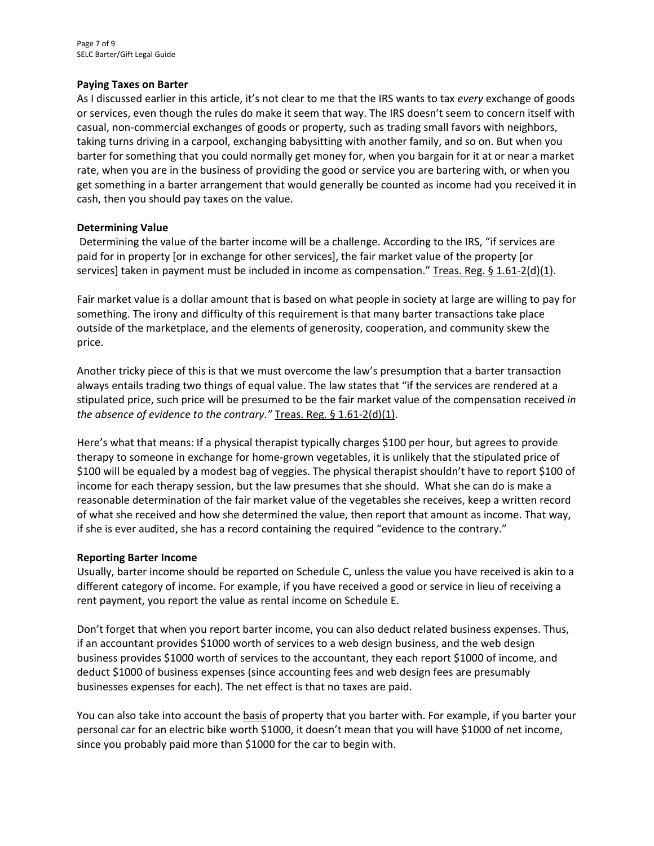#### **Paying Taxes on Barter**

As I discussed earlier in this article, it's not clear to me that the IRS wants to tax *every* exchange of goods or services, even though the rules do make it seem that way. The IRS doesn't seem to concern itself with casual, non‐commercial exchanges of goods or property, such as trading small favors with neighbors, taking turns driving in a carpool, exchanging babysitting with another family, and so on. But when you barter for something that you could normally get money for, when you bargain for it at or near a market rate, when you are in the business of providing the good or service you are bartering with, or when you get something in a barter arrangement that would generally be counted as income had you received it in cash, then you should pay taxes on the value.

#### **Determining Value**

Determining the value of the barter income will be a challenge. According to the IRS, "if services are paid for in property [or in exchange for other services], the fair market value of the property [or services] taken in payment must be included in income as compensation." Treas. Reg. § 1.61-2(d)(1).

Fair market value is a dollar amount that is based on what people in society at large are willing to pay for something. The irony and difficulty of this requirement is that many barter transactions take place outside of the marketplace, and the elements of generosity, cooperation, and community skew the price.

Another tricky piece of this is that we must overcome the law's presumption that a barter transaction always entails trading two things of equal value. The law states that "if the services are rendered at a stipulated price, such price will be presumed to be the fair market value of the compensation received *in the absence of evidence to the contrary."* Treas. Reg. § 1.61‐2(d)(1).

Here's what that means: If a physical therapist typically charges \$100 per hour, but agrees to provide therapy to someone in exchange for home‐grown vegetables, it is unlikely that the stipulated price of \$100 will be equaled by a modest bag of veggies. The physical therapist shouldn't have to report \$100 of income for each therapy session, but the law presumes that she should. What she can do is make a reasonable determination of the fair market value of the vegetables she receives, keep a written record of what she received and how she determined the value, then report that amount as income. That way, if she is ever audited, she has a record containing the required "evidence to the contrary."

#### **Reporting Barter Income**

Usually, barter income should be reported on Schedule C, unless the value you have received is akin to a different category of income. For example, if you have received a good or service in lieu of receiving a rent payment, you report the value as rental income on Schedule E.

Don't forget that when you report barter income, you can also deduct related business expenses. Thus, if an accountant provides \$1000 worth of services to a web design business, and the web design business provides \$1000 worth of services to the accountant, they each report \$1000 of income, and deduct \$1000 of business expenses (since accounting fees and web design fees are presumably businesses expenses for each). The net effect is that no taxes are paid.

You can also take into account the basis of property that you barter with. For example, if you barter your personal car for an electric bike worth \$1000, it doesn't mean that you will have \$1000 of net income, since you probably paid more than \$1000 for the car to begin with.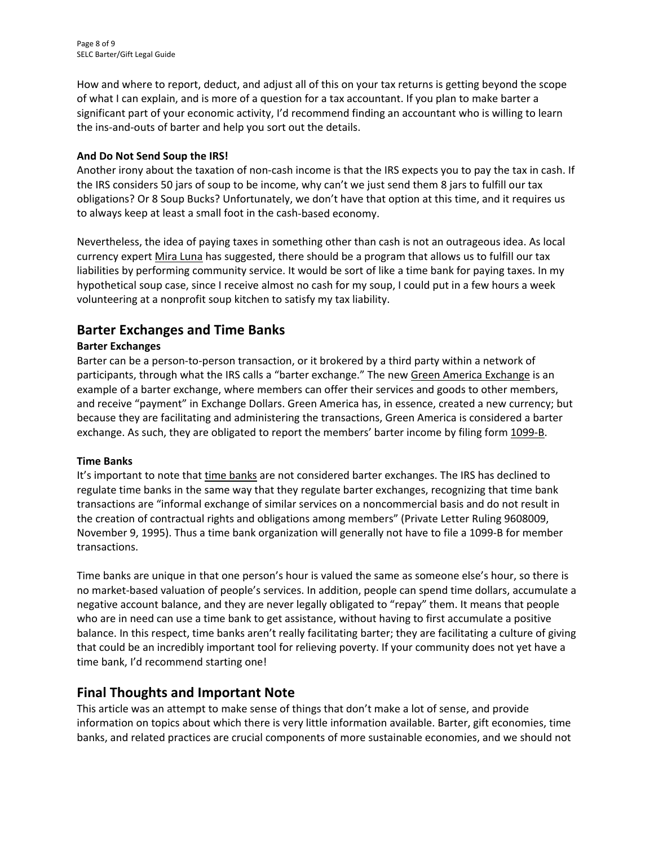How and where to report, deduct, and adjust all of this on your tax returns is getting beyond the scope of what I can explain, and is more of a question for a tax accountant. If you plan to make barter a significant part of your economic activity, I'd recommend finding an accountant who is willing to learn the ins‐and‐outs of barter and help you sort out the details.

#### **And Do Not Send Soup the IRS!**

Another irony about the taxation of non‐cash income is that the IRS expects you to pay the tax in cash. If the IRS considers 50 jars of soup to be income, why can't we just send them 8 jars to fulfill our tax obligations? Or 8 Soup Bucks? Unfortunately, we don't have that option at this time, and it requires us to always keep at least a small foot in the cash‐based economy.

Nevertheless, the idea of paying taxes in something other than cash is not an outrageous idea. As local currency expert Mira Luna has suggested, there should be a program that allows us to fulfill our tax liabilities by performing community service. It would be sort of like a time bank for paying taxes. In my hypothetical soup case, since I receive almost no cash for my soup, I could put in a few hours a week volunteering at a nonprofit soup kitchen to satisfy my tax liability.

## **Barter Exchanges and Time Banks**

#### **Barter Exchanges**

Barter can be a person‐to‐person transaction, or it brokered by a third party within a network of participants, through what the IRS calls a "barter exchange." The new Green America Exchange is an example of a barter exchange, where members can offer their services and goods to other members, and receive "payment" in Exchange Dollars. Green America has, in essence, created a new currency; but because they are facilitating and administering the transactions, Green America is considered a barter exchange. As such, they are obligated to report the members' barter income by filing form 1099‐B.

#### **Time Banks**

It's important to note that time banks are not considered barter exchanges. The IRS has declined to regulate time banks in the same way that they regulate barter exchanges, recognizing that time bank transactions are "informal exchange of similar services on a noncommercial basis and do not result in the creation of contractual rights and obligations among members" (Private Letter Ruling 9608009, November 9, 1995). Thus a time bank organization will generally not have to file a 1099-B for member transactions.

Time banks are unique in that one person's hour is valued the same as someone else's hour, so there is no market‐based valuation of people's services. In addition, people can spend time dollars, accumulate a negative account balance, and they are never legally obligated to "repay" them. It means that people who are in need can use a time bank to get assistance, without having to first accumulate a positive balance. In this respect, time banks aren't really facilitating barter; they are facilitating a culture of giving that could be an incredibly important tool for relieving poverty. If your community does not yet have a time bank, I'd recommend starting one!

## **Final Thoughts and Important Note**

This article was an attempt to make sense of things that don't make a lot of sense, and provide information on topics about which there is very little information available. Barter, gift economies, time banks, and related practices are crucial components of more sustainable economies, and we should not